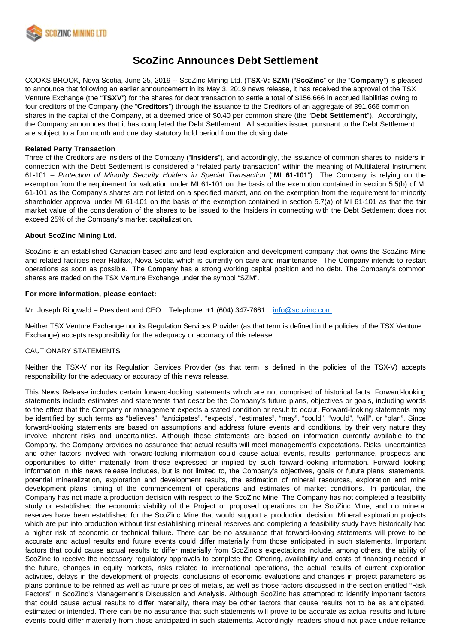

# **ScoZinc Announces Debt Settlement**

COOKS BROOK, Nova Scotia, June 25, 2019 -- ScoZinc Mining Ltd. (**TSX-V: SZM**) ("**ScoZinc**" or the "**Company**") is pleased to announce that following an earlier announcement in its May 3, 2019 news release, it has received the approval of the TSX Venture Exchange (the "**TSXV**") for the shares for debt transaction to settle a total of \$156,666 in accrued liabilities owing to four creditors of the Company (the "**Creditors**") through the issuance to the Creditors of an aggregate of 391,666 common shares in the capital of the Company, at a deemed price of \$0.40 per common share (the "**Debt Settlement**"). Accordingly, the Company announces that it has completed the Debt Settlement. All securities issued pursuant to the Debt Settlement are subject to a four month and one day statutory hold period from the closing date.

### **Related Party Transaction**

Three of the Creditors are insiders of the Company ("**Insiders**"), and accordingly, the issuance of common shares to Insiders in connection with the Debt Settlement is considered a "related party transaction" within the meaning of Multilateral Instrument 61-101 – Protection of Minority Security Holders in Special Transaction ("**MI 61-101**"). The Company is relying on the exemption from the requirement for valuation under MI 61-101 on the basis of the exemption contained in section 5.5(b) of MI 61-101 as the Company's shares are not listed on a specified market, and on the exemption from the requirement for minority shareholder approval under MI 61-101 on the basis of the exemption contained in section 5.7(a) of MI 61-101 as that the fair market value of the consideration of the shares to be issued to the Insiders in connecting with the Debt Settlement does not exceed 25% of the Company's market capitalization.

#### **About ScoZinc Mining Ltd.**

ScoZinc is an established Canadian-based zinc and lead exploration and development company that owns the ScoZinc Mine and related facilities near Halifax, Nova Scotia which is currently on care and maintenance. The Company intends to restart operations as soon as possible. The Company has a strong working capital position and no debt. The Company's common shares are traded on the TSX Venture Exchange under the symbol "SZM".

#### **For more information, please contact:**

Mr. Joseph Ringwald – President and CEO Telephone: +1 (604) 347-7661 [info@scozinc.com](mailto:info@scozinc.com)

Neither TSX Venture Exchange nor its Regulation Services Provider (as that term is defined in the policies of the TSX Venture Exchange) accepts responsibility for the adequacy or accuracy of this release.

## CAUTIONARY STATEMENTS

Neither the TSX-V nor its Regulation Services Provider (as that term is defined in the policies of the TSX-V) accepts responsibility for the adequacy or accuracy of this news release.

This News Release includes certain forward-looking statements which are not comprised of historical facts. Forward-looking statements include estimates and statements that describe the Company's future plans, objectives or goals, including words to the effect that the Company or management expects a stated condition or result to occur. Forward-looking statements may be identified by such terms as "believes", "anticipates", "expects", "estimates", "may", "could", "would", "will", or "plan". Since forward-looking statements are based on assumptions and address future events and conditions, by their very nature they involve inherent risks and uncertainties. Although these statements are based on information currently available to the Company, the Company provides no assurance that actual results will meet management's expectations. Risks, uncertainties and other factors involved with forward-looking information could cause actual events, results, performance, prospects and opportunities to differ materially from those expressed or implied by such forward-looking information. Forward looking information in this news release includes, but is not limited to, the Company's objectives, goals or future plans, statements, potential mineralization, exploration and development results, the estimation of mineral resources, exploration and mine development plans, timing of the commencement of operations and estimates of market conditions. In particular, the Company has not made a production decision with respect to the ScoZinc Mine. The Company has not completed a feasibility study or established the economic viability of the Project or proposed operations on the ScoZinc Mine, and no mineral reserves have been established for the ScoZinc Mine that would support a production decision. Mineral exploration projects which are put into production without first establishing mineral reserves and completing a feasibility study have historically had a higher risk of economic or technical failure. There can be no assurance that forward-looking statements will prove to be accurate and actual results and future events could differ materially from those anticipated in such statements. Important factors that could cause actual results to differ materially from ScoZinc's expectations include, among others, the ability of ScoZinc to receive the necessary regulatory approvals to complete the Offering, availability and costs of financing needed in the future, changes in equity markets, risks related to international operations, the actual results of current exploration activities, delays in the development of projects, conclusions of economic evaluations and changes in project parameters as plans continue to be refined as well as future prices of metals, as well as those factors discussed in the section entitled "Risk Factors" in ScoZinc's Management's Discussion and Analysis. Although ScoZinc has attempted to identify important factors that could cause actual results to differ materially, there may be other factors that cause results not to be as anticipated, estimated or intended. There can be no assurance that such statements will prove to be accurate as actual results and future events could differ materially from those anticipated in such statements. Accordingly, readers should not place undue reliance